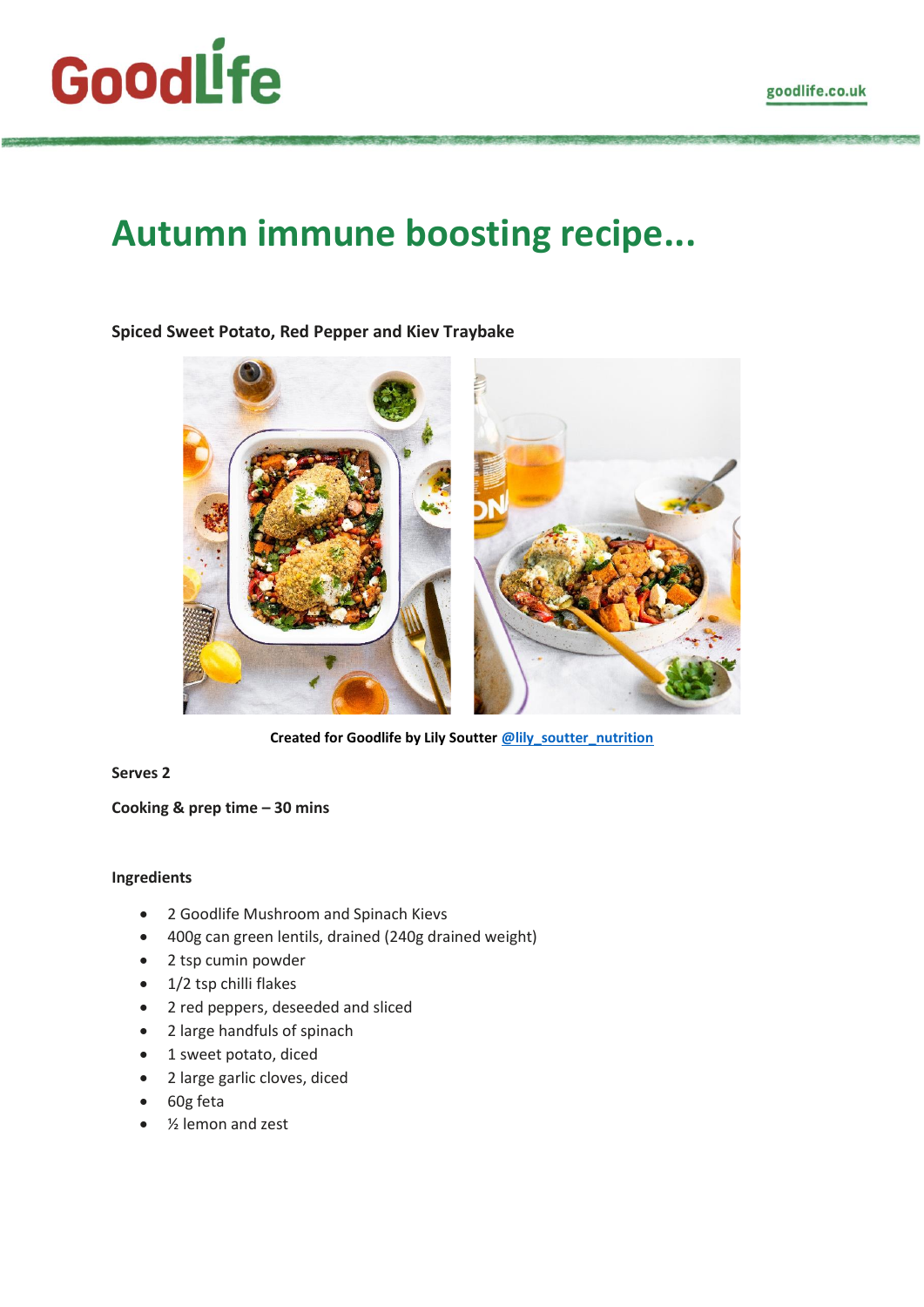# GoodLfe

# **Autumn immune boosting recipe...**

# **Spiced Sweet Potato, Red Pepper and Kiev Traybake**



**Created for Goodlife by Lily Soutter [@lily\\_soutter\\_nutrition](https://www.instagram.com/lily_soutter_nutrition/)**

## **Serves 2**

### **Cooking & prep time – 30 mins**

#### **Ingredients**

- 2 Goodlife Mushroom and Spinach Kievs
- 400g can green lentils, drained (240g drained weight)
- 2 tsp cumin powder
- 1/2 tsp chilli flakes
- 2 red peppers, deseeded and sliced
- 2 large handfuls of spinach
- 1 sweet potato, diced
- 2 large garlic cloves, diced
- 60g feta
- 1/<sub>2</sub> lemon and zest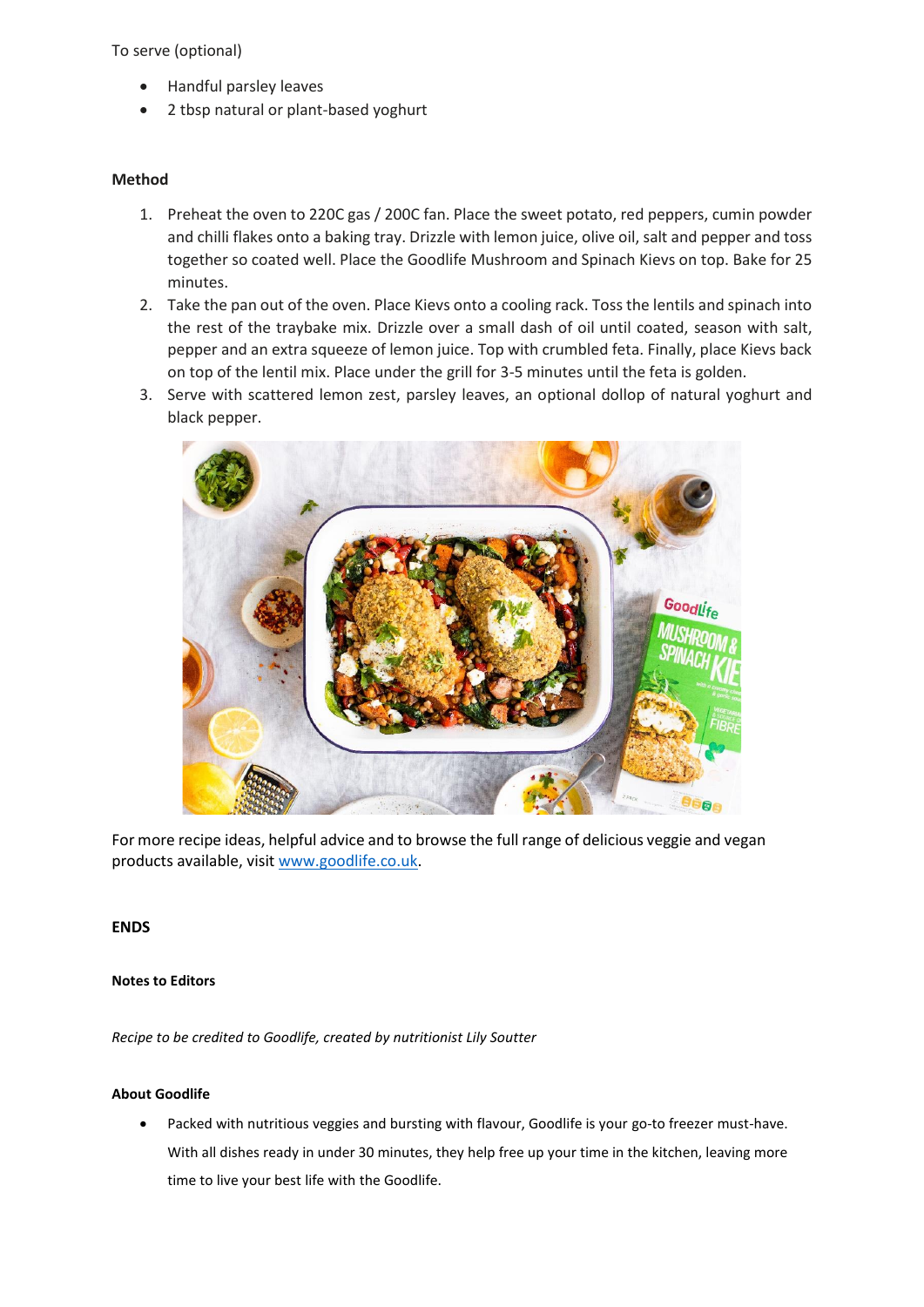#### To serve (optional)

- Handful parsley leaves
- 2 tbsp natural or plant-based yoghurt

#### **Method**

- 1. Preheat the oven to 220C gas / 200C fan. Place the sweet potato, red peppers, cumin powder and chilli flakes onto a baking tray. Drizzle with lemon juice, olive oil, salt and pepper and toss together so coated well. Place the Goodlife Mushroom and Spinach Kievs on top. Bake for 25 minutes.
- 2. Take the pan out of the oven. Place Kievs onto a cooling rack. Toss the lentils and spinach into the rest of the traybake mix. Drizzle over a small dash of oil until coated, season with salt, pepper and an extra squeeze of lemon juice. Top with crumbled feta. Finally, place Kievs back on top of the lentil mix. Place under the grill for 3-5 minutes until the feta is golden.
- 3. Serve with scattered lemon zest, parsley leaves, an optional dollop of natural yoghurt and black pepper.



For more recipe ideas, helpful advice and to browse the full range of delicious veggie and vegan products available, visi[t www.goodlife.co.uk.](http://www.goodlife.co.uk/)

#### **ENDS**

#### **Notes to Editors**

*Recipe to be credited to Goodlife, created by nutritionist Lily Soutter* 

#### **About Goodlife**

• Packed with nutritious veggies and bursting with flavour, Goodlife is your go-to freezer must-have. With all dishes ready in under 30 minutes, they help free up your time in the kitchen, leaving more time to live your best life with the Goodlife.